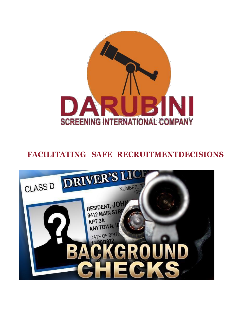

# **FACILITATING SAFE RECRUITMENTDECISIONS**

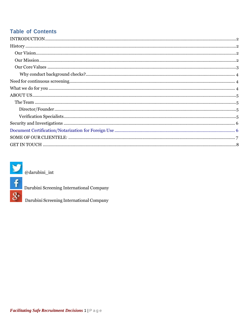## **Table of Contents**



 $@darubini\_int$ 



Darubini Screening International Company<br>
Darubini Screening International Company Darubini Screening International Company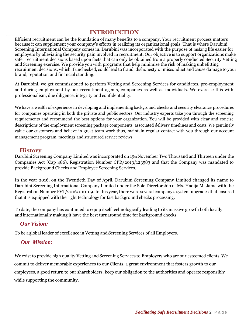### **INTRODUCTION**

<span id="page-2-0"></span>Efficient recruitment can be the foundation of many benefits to a company. Your recruitment process matters because it can supplement your company's efforts in realizing its organizational goals. That is where Darubini Screening International Company comes in. Darubini was incorporated with the purpose of making life easier for employers by alleviating the security pain involved in recruitment. Our objective is to support organizations make safer recruitment decisions based upon facts that can only be obtained from a properly conducted Security Vetting and Screening exercise. We provide you with programs that help minimize the risk of making unbefitting recruitment decisions; which if unchecked, could lead to fraud, dishonesty or misconduct and cause damage to your brand, reputation and financial standing.

At Darubini, we get commissioned to perform Vetting and Screening Services for candidates, pre-employment and during employment by our recruitment agents, companies as well as individuals. We exercise this with professionalism, due diligence, integrity and confidentiality.

We have a wealth of experience in developing and implementing background checks and security clearance procedures for companies operating in both the private and public sectors. Our industry experts take you through the screening requirements and recommend the best options for your organization. You will be provided with clear and concise descriptions of the employment screening package components, associated delivery timelines and costs. We genuinely value our customers and believe in great team work thus, maintain regular contact with you through our account management program, meetings and structured service reviews.

#### **History**

<span id="page-2-1"></span>Darubini Screening Company Limited was incorporated on 19th November Two Thousand and Thirteen under the Companies Act (Cap 486), Registration Number CPR/2013/123583 and that the Company was mandated to provide Background Checks and Employee Screening Services.

In the year 2016, on the Twentieth Day of April, Darubini Screening Company Limited changed its name to Darubini Screening International Company Limited under the Sole Directorship of Ms. Hadija M. Jama with the Registration Number PVT/2016/010109. In this year, there were several company's system upgrades that ensured that it is equipped with the right technology for fast background checks processing.

<span id="page-2-2"></span>To date, the company has continued to equip itself technologically leading to its massive growth both locally and internationally making it have the best turnaround time for background checks.

#### *Our Vision:*

<span id="page-2-3"></span>To be a global leader of excellence in Vetting and Screening Services of all Employers.

#### *Our Mission:*

We exist to provide high quality Vetting and Screening Services to Employers who are our esteemed clients. We commit to deliver memorable experiences to our Clients, a great environment that fosters growth to our employees, a good return to our shareholders, keep our obligation to the authorities and operate responsibly while supporting the community.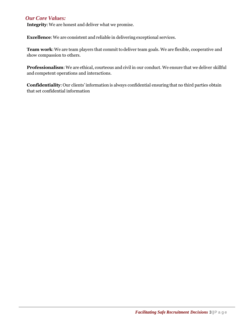#### <span id="page-3-0"></span>*Our Core Values:*

**Integrity:** We are honest and deliver what we promise.

**Excellence**: We are consistent and reliable in delivering exceptional services.

Team work: We are team players that commit to deliver team goals. We are flexible, cooperative and show compassion to others.

**Professionalism**: We are ethical, courteous and civil in our conduct. We ensure that we deliver skillful and competent operations and interactions.

**Confidentiality**:Our clients'information is always confidential ensuring that no third parties obtain that set confidential information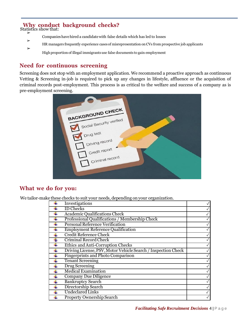## <span id="page-4-0"></span>**Why conduct background checks?**

Statistics show that: ➢

➢

- Companieshavehired a candidatewith false details which has led to losses
- ➢ HR managers frequently experience cases of misrepresentation on CVs from prospective job applicants

Highproportion of illegal immigrantsuse false documents to gain employment

## **Need for continuous screening**

Screening does not stop with an employment application. We recommend a proactive approach as continuous Vetting & Screening in-job is required to pick up any changes in lifestyle, affluence or the acquisition of criminal records post-employment. This process is as critical to the welfare and success of a company as is pre-employment screening.

| <b>BACKGROUND CHECK</b>         |  |
|---------------------------------|--|
| Social Security verified        |  |
| Drug test                       |  |
| Driving record<br>Credit report |  |
| Criminal record                 |  |
|                                 |  |

### **What we do for you:**

We tailor-make these checks to suit your needs, depending on your organization.

| $\frac{1}{2}$ . The contract of $\frac{1}{2}$ and $\frac{1}{2}$ are $\frac{1}{2}$ . The contract of $\frac{1}{2}$ and $\frac{1}{2}$ are $\frac{1}{2}$ and $\frac{1}{2}$ are $\frac{1}{2}$ and $\frac{1}{2}$ are $\frac{1}{2}$ and $\frac{1}{2}$ are $\frac{1}{2}$ and $\frac{1}{2}$ a<br>Investigations |  |
|---------------------------------------------------------------------------------------------------------------------------------------------------------------------------------------------------------------------------------------------------------------------------------------------------------|--|
| <b>ID Checks</b>                                                                                                                                                                                                                                                                                        |  |
| <b>Academic Qualifications Check</b>                                                                                                                                                                                                                                                                    |  |
| Professional Qualifications / Membership Check                                                                                                                                                                                                                                                          |  |
| Personal Reference Verification                                                                                                                                                                                                                                                                         |  |
| <b>Employment Reference Qualification</b>                                                                                                                                                                                                                                                               |  |
| <b>Credit Reference Check</b>                                                                                                                                                                                                                                                                           |  |
| <b>Criminal Record Check</b>                                                                                                                                                                                                                                                                            |  |
| Ethics and Anti-Corruption Checks                                                                                                                                                                                                                                                                       |  |
| Driving License, PSV, Motor Vehicle Search / Inspection Check                                                                                                                                                                                                                                           |  |
| <b>Fingerprints and Photo Comparison</b>                                                                                                                                                                                                                                                                |  |
| <b>Tenant Screening</b>                                                                                                                                                                                                                                                                                 |  |
| Drug Screening                                                                                                                                                                                                                                                                                          |  |
| <b>Medical Examination</b>                                                                                                                                                                                                                                                                              |  |
| <b>Company Due Diligence</b>                                                                                                                                                                                                                                                                            |  |
| <b>Bankruptcy Search</b>                                                                                                                                                                                                                                                                                |  |
| Directorship Search                                                                                                                                                                                                                                                                                     |  |
| <b>Undeclared Links</b>                                                                                                                                                                                                                                                                                 |  |
| Property Ownership Search                                                                                                                                                                                                                                                                               |  |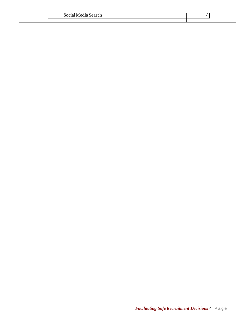| .<br>Mec<br>$50C$ <sup>1<math>\degree</math></sup><br>icial media Search |  |
|--------------------------------------------------------------------------|--|
|                                                                          |  |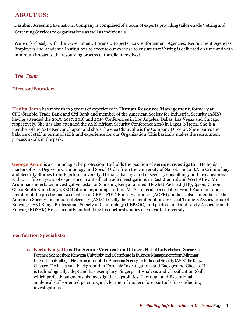### <span id="page-6-0"></span>**ABOUT US:**

Darubini Screening International Company is comprised of a team of experts providing tailor-made Vetting and Screening Services to organizations as well as individuals.

We work closely with the Government, Forensic Experts, Law enforcement Agencies, Recruitment Agencies, Employers and Academic Institutions to execute our exercise to ensure that Vetting is delivered on time and with minimum impact to the resourcing process of theClient involved.

#### *The Team*

#### **Director/Founder:**

**Hadija Jama** has more than 35years of experience in **Human Resource Management**, formerly at CFC/Stanbic, Trade Bank and Citi Bank and member of the American Society for Industrial Security (ASIS) having attended the 2015, 2017, 2018 and 2019 Conferences in Los Angeles, Dallas, Las Vegas and Chicago respectively. She has also attended the ASIS African Security Conference 2018 in Lagos, Nigeria. She is a member of the ASIS KenyanChapter and she is the Vice Chair. She is the Company Director. She ensures the balance of staff in terms of skills and experience for our Organization. This basically makes the recruitment process a walk in the park.

**George Arum** is a criminologist by profession. He holds the position of **senior Investigator**. He holds mastersof Arts Degree in Criminology and Social Order from the University of Nairobi and a B.A in Criminology and Security Studies from Egerton University. He has a background in security consultancy and investigations with over fifteen years of experience in anti-illicit trade investigations in East ,Central and West Africa.Mr Arum has undertaken investigative tasks for Samsung Kenya Limited, Hewlett Packard (HP),Epson, Canon, Glaxo Smith Kline Kenya,BBC,Caterpillar, amongst others.Mr Arum is also a certified Fraud Examiner and a member of the prestigious Association of CERTIFIED Fraud Examiners (ACFE) and he is also a member of the American Society for Industrial Security (ASIS).Locally ,he is a member of professional Trainers Associations of Kenya,(PTAK),Kenya Professional Society of Criminology (KEPSOC) and professional and safety Association of Kenya (PROSAK).He is currently undertaking his doctoral studies at Kenyatta University

#### **Verification Specialists:**

**1. Kechi Kenyatta** is **The Senior Verification Officer.** He holds a Bachelor of Science in Forensic Science from Kenyatta University and a Certificate in Business Management from Miramar International College. He is a member of The American Society for Industrial Security (ASIS) the Kenyan Chapter . He has a vast background in Forensic Investigations and Background Checks. He is technologically adept and has exemplary Fingerprint Analysis and Classification Skills which perfectly augments his investigative capabilities. Thorough and Exceptional analytical skill-oriented person. Quick learner of modern forensic tools for conducting investigations.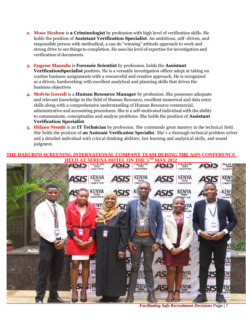- **2. Mose Hesbon** is **a Criminologist** by profession with high level of verification skills. He holds the position of **Assistant Verification Specialist**. An ambitious, self -driven, and responsible person with methodical, a can do "winning" attitude approach to work and strong drive to see things to completion. He uses his level of expertise for investigation and verification of documents.
- **3. Eugene Maundu** is **Forensic Scientist** by profession, holds the **Assistant VerificationSpecialist** position. He is a versatile investigation officer adept at taking on routine business assignments with a resourceful and creative approach. He is recognized as a driven, hardworking with excellent analytical and planning skills that drives the business objectives
- **4. Molvin Govedi** is a **Human Resource Manager** by profession. She possesses adequate and relevant knowledge in the field of Human Resource, excellent numerical and data entry skills along with a comprehensive understanding of Human Resource commercial, administrative and accounting procedures. She is a self-motivated individual with the ability to communicate, conceptualize and analyze problems. She holds the position of **Assistant Verification Specialist**.
- **5. Hifano Ntembi** is an **IT Technician** by profession. She commands great mastery in the technical field. She holds the position of **an Assistant Verification Specialist**. She's a thorough technical problem solver and a detailed individual with critical thinking abilities, fast learning and analytical skills, and sound judgment.

#### **THE DARUBINI SCREENING INTERNATIONAL COMPANY TEAM DURING THE ASIS CONFERENCE HELD AT SERENA HOTEL ON THE 5 TH MAY 2022**



*Facilitating Safe Recruitment Decisions* Page | 7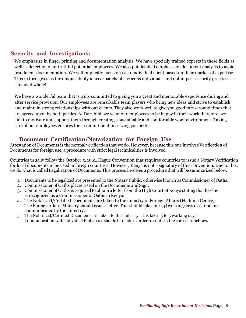## <span id="page-8-0"></span> **Security and Investigations:**

We emphasize in finger printing and documentation analysis. We have specially trained experts in these fields as well as detection of untruthful potential employees. We also put detailed emphasis on document analysis to avoid fraudulent documentation. We will implicitly focus on each individual client based on their market of expertise. This in turn gives us the unique ability to serve our clients better as individuals and not impose security practices as a blanket whole!

We have a wonderful team that is truly committed to giving you a great and memorable experience during and after service provision. Our employees are remarkable team players who bring new ideas and strive to establish and maintain strong relationships with our clients. They also work well to give you good turn-around times that are agreed upon by both parties. At Darubini, we want our employees to be happy in their work therefore, we aim to motivate and support them through creating a sustainable and comfortable work environment. Taking care of our employees ensures their commitment in serving you better.

### **Document Certification/Notarization for Foreign Use**

Attestation of Documents is the normal verification that we do. However, because this one involves Verification of Documents for foreign use, a procedure with strict legal technicalities is involved.

Countries usually follow the October 5, 1961, Hague Convention that requires countries to issue a Notary Verification for local documents to be used in foreign countries. However, Kenya is not a signatory of this convention. Due to this, we do what is called Legalization of Documents. This process involves a procedure that will be summarized below.

- 1. Documents to be legalized are presented to the Notary Public, otherwise known asCommissioner of Oaths.
- 2. Commissioner of Oaths places a seal on the Documents and Sign.
- 3. Commissioner of Oaths is required to obtain a letter from the High Court of Kenya stating that he/she is recognized as a Commissioner of Oaths in Kenya.
- 4. The Notarized/Certified Documents are taken to the ministry of Foreign Affairs (Huduma Centre). The Foreign Affairs Ministry should issue a letter. This should take four (4) working days or a timeline communicated by the ministry.
- 5. The Notarized/Certified Documents are taken to the embassy. This takes 3 to 5 working days. Communication with individual Embassies should be made in order to confirm the correct timelines.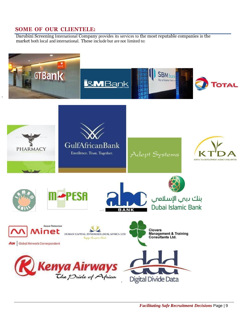## <span id="page-9-0"></span>**SOME OF OUR CLIENTELE:**

Darubini Screening International Company provides its services to the most reputable companies in the market both local and international. These include but are not limited to: